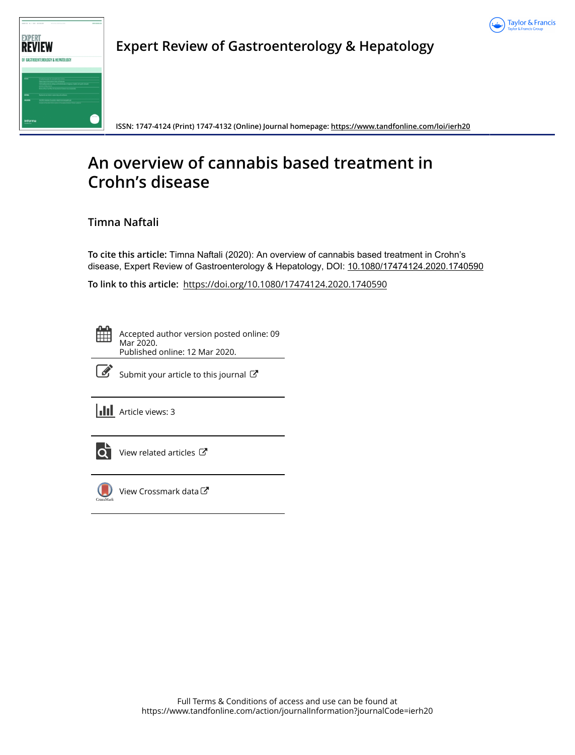



**Expert Review of Gastroenterology & Hepatology**

**ISSN: 1747-4124 (Print) 1747-4132 (Online) Journal homepage:<https://www.tandfonline.com/loi/ierh20>**

# **An overview of cannabis based treatment in Crohn's disease**

# **Timna Naftali**

**To cite this article:** Timna Naftali (2020): An overview of cannabis based treatment in Crohn's disease, Expert Review of Gastroenterology & Hepatology, DOI: [10.1080/17474124.2020.1740590](https://www.tandfonline.com/action/showCitFormats?doi=10.1080/17474124.2020.1740590)

**To link to this article:** <https://doi.org/10.1080/17474124.2020.1740590>



Accepted author version posted online: 09 Mar 2020. Published online: 12 Mar 2020.



 $\overline{\mathscr{L}}$  [Submit your article to this journal](https://www.tandfonline.com/action/authorSubmission?journalCode=ierh20&show=instructions)  $\mathbb{Z}$ 

**III** Article views: 3



 $\overrightarrow{Q}$  [View related articles](https://www.tandfonline.com/doi/mlt/10.1080/17474124.2020.1740590)  $\overrightarrow{C}$ 



[View Crossmark data](http://crossmark.crossref.org/dialog/?doi=10.1080/17474124.2020.1740590&domain=pdf&date_stamp=2020-03-09)<sup>C</sup>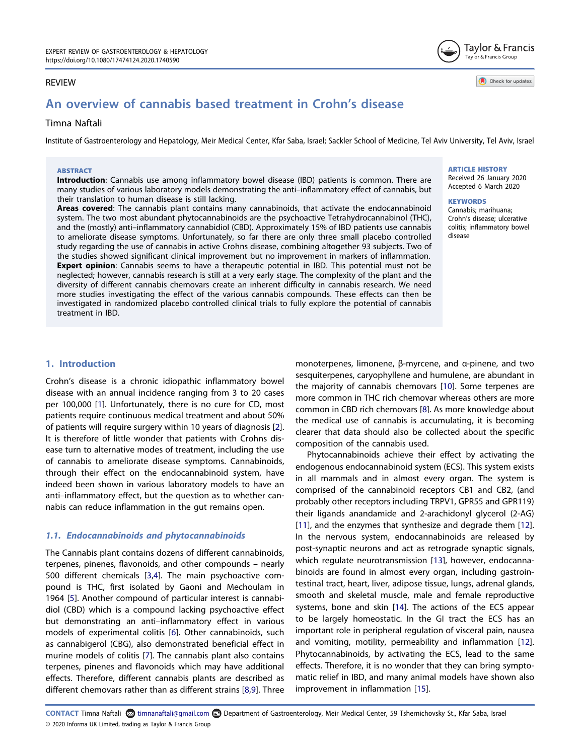## REVIEW

# An overview of cannabis based treatment in Crohn's disease

## Timna Naftali

Institute of Gastroenterology and Hepatology, Meir Medical Center, Kfar Saba, Israel; Sackler School of Medicine, Tel Aviv University, Tel Aviv, Israel

#### **ABSTRACT**

Introduction: Cannabis use among inflammatory bowel disease (IBD) patients is common. There are many studies of various laboratory models demonstrating the anti–inflammatory effect of cannabis, but their translation to human disease is still lacking.

Areas covered: The cannabis plant contains many cannabinoids, that activate the endocannabinoid system. The two most abundant phytocannabinoids are the psychoactive Tetrahydrocannabinol (THC), and the (mostly) anti–inflammatory cannabidiol (CBD). Approximately 15% of IBD patients use cannabis to ameliorate disease symptoms. Unfortunately, so far there are only three small placebo controlled study regarding the use of cannabis in active Crohns disease, combining altogether 93 subjects. Two of the studies showed significant clinical improvement but no improvement in markers of inflammation. Expert opinion: Cannabis seems to have a therapeutic potential in IBD. This potential must not be neglected; however, cannabis research is still at a very early stage. The complexity of the plant and the diversity of different cannabis chemovars create an inherent difficulty in cannabis research. We need more studies investigating the effect of the various cannabis compounds. These effects can then be investigated in randomized placebo controlled clinical trials to fully explore the potential of cannabis treatment in IBD.

# ARTICLE HISTORY

Received 26 January 2020 Accepted 6 March 2020

Taylor & Francis Taylor & Francis Group

Check for updates

#### **KEYWORDS**

Cannabis; marihuana; Crohn's disease; ulcerative colitis; inflammatory bowel disease

#### 1. Introduction

<span id="page-1-1"></span><span id="page-1-0"></span>Crohn's disease is a chronic idiopathic inflammatory bowel disease with an annual incidence ranging from 3 to 20 cases per 100,000 [[1](#page-4-0)]. Unfortunately, there is no cure for CD, most patients require continuous medical treatment and about 50% of patients will require surgery within 10 years of diagnosis [\[2](#page-4-1)]. It is therefore of little wonder that patients with Crohns disease turn to alternative modes of treatment, including the use of cannabis to ameliorate disease symptoms. Cannabinoids, through their effect on the endocannabinoid system, have indeed been shown in various laboratory models to have an anti–inflammatory effect, but the question as to whether cannabis can reduce inflammation in the gut remains open.

#### 1.1. Endocannabinoids and phytocannabinoids

<span id="page-1-4"></span><span id="page-1-3"></span><span id="page-1-2"></span>The Cannabis plant contains dozens of different cannabinoids, terpenes, pinenes, flavonoids, and other compounds – nearly 500 different chemicals [\[3](#page-4-2)[,4](#page-4-3)]. The main psychoactive compound is THC, first isolated by Gaoni and Mechoulam in 1964 [\[5](#page-4-4)]. Another compound of particular interest is cannabidiol (CBD) which is a compound lacking psychoactive effect but demonstrating an anti–inflammatory effect in various models of experimental colitis [\[6\]](#page-4-5). Other cannabinoids, such as cannabigerol (CBG), also demonstrated beneficial effect in murine models of colitis [[7](#page-4-6)]. The cannabis plant also contains terpenes, pinenes and flavonoids which may have additional effects. Therefore, different cannabis plants are described as different chemovars rather than as different strains [\[8,](#page-4-7)[9\]](#page-4-8). Three

<span id="page-1-8"></span><span id="page-1-6"></span>monoterpenes, limonene, β-myrcene, and α-pinene, and two sesquiterpenes, caryophyllene and humulene, are abundant in the majority of cannabis chemovars [[10](#page-4-9)]. Some terpenes are more common in THC rich chemovar whereas others are more common in CBD rich chemovars [[8\]](#page-4-7). As more knowledge about the medical use of cannabis is accumulating, it is becoming clearer that data should also be collected about the specific composition of the cannabis used.

<span id="page-1-13"></span><span id="page-1-12"></span><span id="page-1-11"></span><span id="page-1-10"></span><span id="page-1-9"></span>Phytocannabinoids achieve their effect by activating the endogenous endocannabinoid system (ECS). This system exists in all mammals and in almost every organ. The system is comprised of the cannabinoid receptors CB1 and CB2, (and probably other receptors including TRPV1, GPR55 and GPR119) their ligands anandamide and 2-arachidonyl glycerol (2-AG) [\[11](#page-4-10)], and the enzymes that synthesize and degrade them [[12\]](#page-4-11). In the nervous system, endocannabinoids are released by post-synaptic neurons and act as retrograde synaptic signals, which regulate neurotransmission [[13](#page-4-12)], however, endocannabinoids are found in almost every organ, including gastrointestinal tract, heart, liver, adipose tissue, lungs, adrenal glands, smooth and skeletal muscle, male and female reproductive systems, bone and skin [\[14\]](#page-4-13). The actions of the ECS appear to be largely homeostatic. In the GI tract the ECS has an important role in peripheral regulation of visceral pain, nausea and vomiting, motility, permeability and inflammation [\[12\]](#page-4-11). Phytocannabinoids, by activating the ECS, lead to the same effects. Therefore, it is no wonder that they can bring symptomatic relief in IBD, and many animal models have shown also improvement in inflammation [[15\]](#page-4-14).

<span id="page-1-7"></span><span id="page-1-5"></span>CONTACT Timna Naftali a timnanaftali@gmail.com Department of Gastroenterology, Meir Medical Center, 59 Tshernichovsky St., Kfar Saba, Israel © 2020 Informa UK Limited, trading as Taylor & Francis Group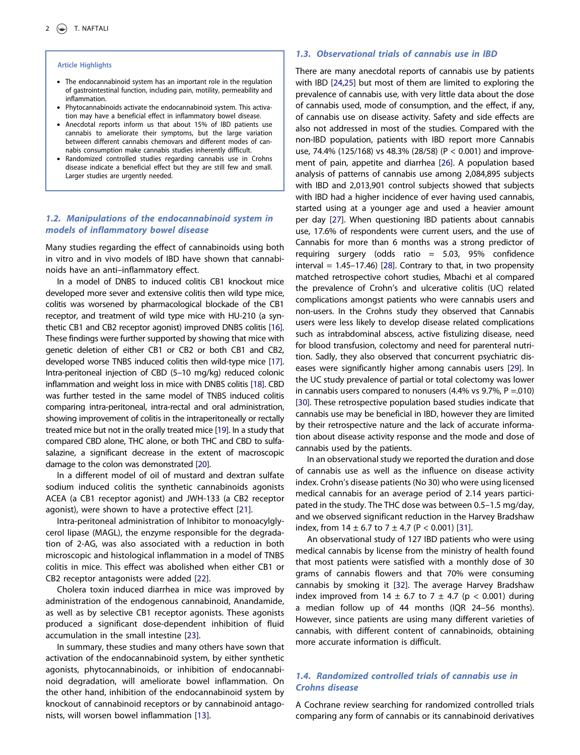#### Article Highlights

- The endocannabinoid system has an important role in the regulation of gastrointestinal function, including pain, motility, permeability and inflammation.
- Phytocannabinoids activate the endocannabinoid system. This activation may have a beneficial effect in inflammatory bowel disease.
- Anecdotal reports inform us that about 15% of IBD patients use cannabis to ameliorate their symptoms, but the large variation between different cannabis chemovars and different modes of cannabis consumption make cannabis studies inherently difficult.
- Randomized controlled studies regarding cannabis use in Crohns disease indicate a beneficial effect but they are still few and small. Larger studies are urgently needed.

## 1.2. Manipulations of the endocannabinoid system in models of inflammatory bowel disease

Many studies regarding the effect of cannabinoids using both in vitro and in vivo models of IBD have shown that cannabinoids have an anti–inflammatory effect.

<span id="page-2-1"></span><span id="page-2-0"></span>In a model of DNBS to induced colitis CB1 knockout mice developed more sever and extensive colitis then wild type mice, colitis was worsened by pharmacological blockade of the CB1 receptor, and treatment of wild type mice with HU-210 (a synthetic CB1 and CB2 receptor agonist) improved DNBS colitis [\[16](#page-4-15)]. These findings were further supported by showing that mice with genetic deletion of either CB1 or CB2 or both CB1 and CB2, developed worse TNBS induced colitis then wild-type mice [\[17](#page-4-16)]. Intra-peritoneal injection of CBD (5–10 mg/kg) reduced colonic inflammation and weight loss in mice with DNBS colitis [\[18](#page-4-17)]. CBD was further tested in the same model of TNBS induced colitis comparing intra-peritoneal, intra-rectal and oral administration, showing improvement of colitis in the intraperitoneally or rectally treated mice but not in the orally treated mice [\[19\]](#page-4-18). In a study that compared CBD alone, THC alone, or both THC and CBD to sulfasalazine, a significant decrease in the extent of macroscopic damage to the colon was demonstrated [\[20](#page-4-19)].

<span id="page-2-4"></span><span id="page-2-3"></span><span id="page-2-2"></span>In a different model of oil of mustard and dextran sulfate sodium induced colitis the synthetic cannabinoids agonists ACEA (a CB1 receptor agonist) and JWH-133 (a CB2 receptor agonist), were shown to have a protective effect [\[21](#page-4-20)].

<span id="page-2-5"></span>Intra-peritoneal administration of Inhibitor to monoacylglycerol lipase (MAGL), the enzyme responsible for the degradation of 2-AG, was also associated with a reduction in both microscopic and histological inflammation in a model of TNBS colitis in mice. This effect was abolished when either CB1 or CB2 receptor antagonists were added [[22\]](#page-4-21).

<span id="page-2-6"></span>Cholera toxin induced diarrhea in mice was improved by administration of the endogenous cannabinoid, Anandamide, as well as by selective CB1 receptor agonists. These agonists produced a significant dose-dependent inhibition of fluid accumulation in the small intestine [\[23](#page-4-22)].

<span id="page-2-7"></span>In summary, these studies and many others have sown that activation of the endocannabinoid system, by either synthetic agonists, phytocannabinoids, or inhibition of endocannabinoid degradation, will ameliorate bowel inflammation. On the other hand, inhibition of the endocannabinoid system by knockout of cannabinoid receptors or by cannabinoid antagonists, will worsen bowel inflammation [\[13](#page-4-12)].

#### 1.3. Observational trials of cannabis use in IBD

<span id="page-2-11"></span><span id="page-2-10"></span><span id="page-2-9"></span><span id="page-2-8"></span>There are many anecdotal reports of cannabis use by patients with IBD [\[24,](#page-5-0)[25](#page-5-1)] but most of them are limited to exploring the prevalence of cannabis use, with very little data about the dose of cannabis used, mode of consumption, and the effect, if any, of cannabis use on disease activity. Safety and side effects are also not addressed in most of the studies. Compared with the non-IBD population, patients with IBD report more Cannabis use, 74.4% (125/168) vs 48.3% (28/58) (P < 0.001) and improvement of pain, appetite and diarrhea [[26](#page-5-2)]. A population based analysis of patterns of cannabis use among 2,084,895 subjects with IBD and 2,013,901 control subjects showed that subjects with IBD had a higher incidence of ever having used cannabis, started using at a younger age and used a heavier amount per day [\[27\]](#page-5-3). When questioning IBD patients about cannabis use, 17.6% of respondents were current users, and the use of Cannabis for more than 6 months was a strong predictor of requiring surgery (odds ratio = 5.03, 95% confidence  $interval = 1.45-17.46$  [[28](#page-5-4)]. Contrary to that, in two propensity matched retrospective cohort studies, Mbachi et al compared the prevalence of Crohn's and ulcerative colitis (UC) related complications amongst patients who were cannabis users and non-users. In the Crohns study they observed that Cannabis users were less likely to develop disease related complications such as intrabdominal abscess, active fistulizing disease, need for blood transfusion, colectomy and need for parenteral nutrition. Sadly, they also observed that concurrent psychiatric diseases were significantly higher among cannabis users [\[29\]](#page-5-5). In the UC study prevalence of partial or total colectomy was lower in cannabis users compared to nonusers (4.4% vs 9.7%,  $P = .010$ ) [\[30\]](#page-5-6). These retrospective population based studies indicate that cannabis use may be beneficial in IBD, however they are limited by their retrospective nature and the lack of accurate information about disease activity response and the mode and dose of cannabis used by the patients.

<span id="page-2-13"></span><span id="page-2-12"></span>In an observational study we reported the duration and dose of cannabis use as well as the influence on disease activity index. Crohn's disease patients (No 30) who were using licensed medical cannabis for an average period of 2.14 years participated in the study. The THC dose was between 0.5–1.5 mg/day, and we observed significant reduction in the Harvey Bradshaw index, from  $14 \pm 6.7$  to  $7 \pm 4.7$  (P < 0.001) [[31](#page-5-7)].

<span id="page-2-15"></span><span id="page-2-14"></span>An observational study of 127 IBD patients who were using medical cannabis by license from the ministry of health found that most patients were satisfied with a monthly dose of 30 grams of cannabis flowers and that 70% were consuming cannabis by smoking it [\[32\]](#page-5-8). The average Harvey Bradshaw index improved from 14  $\pm$  6.7 to 7  $\pm$  4.7 (p < 0.001) during a median follow up of 44 months (IQR 24–56 months). However, since patients are using many different varieties of cannabis, with different content of cannabinoids, obtaining more accurate information is difficult.

#### 1.4. Randomized controlled trials of cannabis use in Crohns disease

A Cochrane review searching for randomized controlled trials comparing any form of cannabis or its cannabinoid derivatives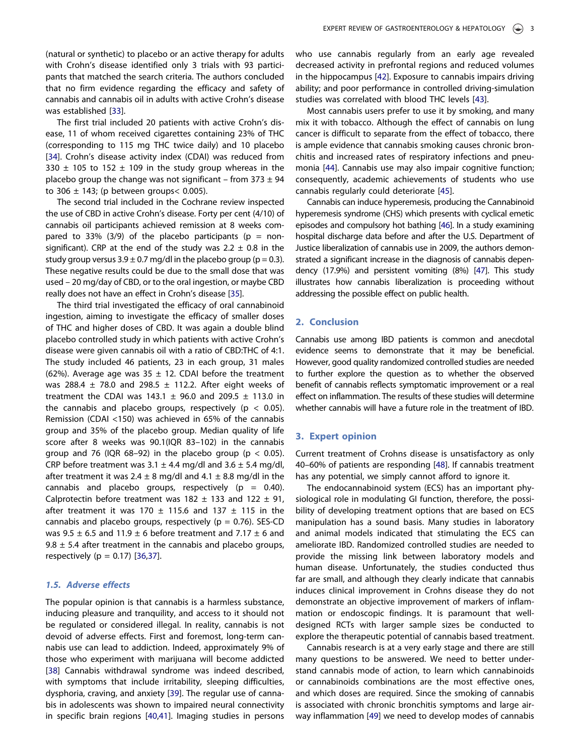(natural or synthetic) to placebo or an active therapy for adults with Crohn's disease identified only 3 trials with 93 participants that matched the search criteria. The authors concluded that no firm evidence regarding the efficacy and safety of cannabis and cannabis oil in adults with active Crohn's disease was established [[33](#page-5-9)].

<span id="page-3-1"></span><span id="page-3-0"></span>The first trial included 20 patients with active Crohn's disease, 11 of whom received cigarettes containing 23% of THC (corresponding to 115 mg THC twice daily) and 10 placebo [[34](#page-5-10)]. Crohn's disease activity index (CDAI) was reduced from 330  $\pm$  105 to 152  $\pm$  109 in the study group whereas in the placebo group the change was not significant – from  $373 \pm 94$ to 306  $\pm$  143; (p between groups < 0.005).

The second trial included in the Cochrane review inspected the use of CBD in active Crohn's disease. Forty per cent (4/10) of cannabis oil participants achieved remission at 8 weeks compared to 33% (3/9) of the placebo participants ( $p = non$ significant). CRP at the end of the study was  $2.2 \pm 0.8$  in the study group versus  $3.9 \pm 0.7$  mg/dl in the placebo group (p = 0.3). These negative results could be due to the small dose that was used – 20 mg/day of CBD, or to the oral ingestion, or maybe CBD really does not have an effect in Crohn's disease [\[35\]](#page-5-11).

<span id="page-3-2"></span>The third trial investigated the efficacy of oral cannabinoid ingestion, aiming to investigate the efficacy of smaller doses of THC and higher doses of CBD. It was again a double blind placebo controlled study in which patients with active Crohn's disease were given cannabis oil with a ratio of CBD:THC of 4:1. The study included 46 patients, 23 in each group, 31 males (62%). Average age was 35  $\pm$  12. CDAI before the treatment was 288.4  $\pm$  78.0 and 298.5  $\pm$  112.2. After eight weeks of treatment the CDAI was 143.1  $\pm$  96.0 and 209.5  $\pm$  113.0 in the cannabis and placebo groups, respectively ( $p < 0.05$ ). Remission (CDAI <150) was achieved in 65% of the cannabis group and 35% of the placebo group. Median quality of life score after 8 weeks was 90.1(IQR 83–102) in the cannabis group and 76 (IQR 68-92) in the placebo group ( $p < 0.05$ ). CRP before treatment was  $3.1 \pm 4.4$  mg/dl and  $3.6 \pm 5.4$  mg/dl, after treatment it was  $2.4 \pm 8$  mg/dl and  $4.1 \pm 8.8$  mg/dl in the cannabis and placebo groups, respectively ( $p = 0.40$ ). Calprotectin before treatment was  $182 \pm 133$  and  $122 \pm 91$ , after treatment it was 170  $\pm$  115.6 and 137  $\pm$  115 in the cannabis and placebo groups, respectively ( $p = 0.76$ ). SES-CD was 9.5  $\pm$  6.5 and 11.9  $\pm$  6 before treatment and 7.17  $\pm$  6 and 9.8  $\pm$  5.4 after treatment in the cannabis and placebo groups, respectively ( $p = 0.17$ ) [[36,](#page-5-12)[37](#page-5-13)].

#### <span id="page-3-3"></span>1.5. Adverse effects

<span id="page-3-6"></span><span id="page-3-5"></span><span id="page-3-4"></span>The popular opinion is that cannabis is a harmless substance, inducing pleasure and tranquility, and access to it should not be regulated or considered illegal. In reality, cannabis is not devoid of adverse effects. First and foremost, long-term cannabis use can lead to addiction. Indeed, approximately 9% of those who experiment with marijuana will become addicted [[38](#page-5-14)] Cannabis withdrawal syndrome was indeed described, with symptoms that include irritability, sleeping difficulties, dysphoria, craving, and anxiety [[39](#page-5-15)]. The regular use of cannabis in adolescents was shown to impaired neural connectivity in specific brain regions [\[40](#page-5-16)[,41\]](#page-5-17). Imaging studies in persons <span id="page-3-7"></span>who use cannabis regularly from an early age revealed decreased activity in prefrontal regions and reduced volumes in the hippocampus [[42](#page-5-18)]. Exposure to cannabis impairs driving ability; and poor performance in controlled driving-simulation studies was correlated with blood THC levels [\[43](#page-5-19)].

<span id="page-3-8"></span>Most cannabis users prefer to use it by smoking, and many mix it with tobacco. Although the effect of cannabis on lung cancer is difficult to separate from the effect of tobacco, there is ample evidence that cannabis smoking causes chronic bronchitis and increased rates of respiratory infections and pneumonia [\[44\]](#page-5-20). Cannabis use may also impair cognitive function; consequently, academic achievements of students who use cannabis regularly could deteriorate [[45\]](#page-5-21).

<span id="page-3-11"></span><span id="page-3-10"></span><span id="page-3-9"></span>Cannabis can induce hyperemesis, producing the Cannabinoid hyperemesis syndrome (CHS) which presents with cyclical emetic episodes and compulsory hot bathing [[46\]](#page-5-22). In a study examining hospital discharge data before and after the U.S. Department of Justice liberalization of cannabis use in 2009, the authors demonstrated a significant increase in the diagnosis of cannabis dependency (17.9%) and persistent vomiting (8%) [\[47\]](#page-5-23). This study illustrates how cannabis liberalization is proceeding without addressing the possible effect on public health.

#### <span id="page-3-12"></span>2. Conclusion

Cannabis use among IBD patients is common and anecdotal evidence seems to demonstrate that it may be beneficial. However, good quality randomized controlled studies are needed to further explore the question as to whether the observed benefit of cannabis reflects symptomatic improvement or a real effect on inflammation. The results of these studies will determine whether cannabis will have a future role in the treatment of IBD.

#### 3. Expert opinion

<span id="page-3-13"></span>Current treatment of Crohns disease is unsatisfactory as only 40–60% of patients are responding [\[48\]](#page-5-24). If cannabis treatment has any potential, we simply cannot afford to ignore it.

The endocannabinoid system (ECS) has an important physiological role in modulating GI function, therefore, the possibility of developing treatment options that are based on ECS manipulation has a sound basis. Many studies in laboratory and animal models indicated that stimulating the ECS can ameliorate IBD. Randomized controlled studies are needed to provide the missing link between laboratory models and human disease. Unfortunately, the studies conducted thus far are small, and although they clearly indicate that cannabis induces clinical improvement in Crohns disease they do not demonstrate an objective improvement of markers of inflammation or endoscopic findings. It is paramount that welldesigned RCTs with larger sample sizes be conducted to explore the therapeutic potential of cannabis based treatment.

<span id="page-3-14"></span>Cannabis research is at a very early stage and there are still many questions to be answered. We need to better understand cannabis mode of action, to learn which cannabinoids or cannabinoids combinations are the most effective ones, and which doses are required. Since the smoking of cannabis is associated with chronic bronchitis symptoms and large airway inflammation [[49\]](#page-5-25) we need to develop modes of cannabis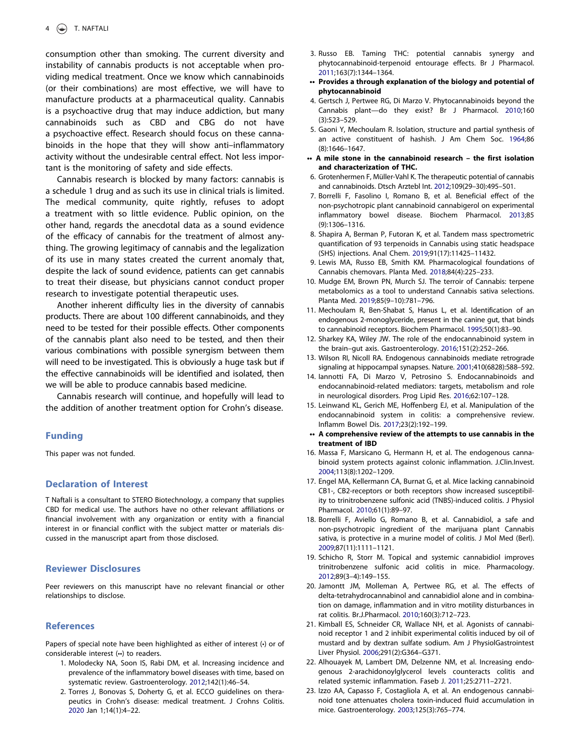consumption other than smoking. The current diversity and instability of cannabis products is not acceptable when providing medical treatment. Once we know which cannabinoids (or their combinations) are most effective, we will have to manufacture products at a pharmaceutical quality. Cannabis is a psychoactive drug that may induce addiction, but many cannabinoids such as CBD and CBG do not have a psychoactive effect. Research should focus on these cannabinoids in the hope that they will show anti–inflammatory activity without the undesirable central effect. Not less important is the monitoring of safety and side effects.

Cannabis research is blocked by many factors: cannabis is a schedule 1 drug and as such its use in clinical trials is limited. The medical community, quite rightly, refuses to adopt a treatment with so little evidence. Public opinion, on the other hand, regards the anecdotal data as a sound evidence of the efficacy of cannabis for the treatment of almost anything. The growing legitimacy of cannabis and the legalization of its use in many states created the current anomaly that, despite the lack of sound evidence, patients can get cannabis to treat their disease, but physicians cannot conduct proper research to investigate potential therapeutic uses.

Another inherent difficulty lies in the diversity of cannabis products. There are about 100 different cannabinoids, and they need to be tested for their possible effects. Other components of the cannabis plant also need to be tested, and then their various combinations with possible synergism between them will need to be investigated. This is obviously a huge task but if the effective cannabinoids will be identified and isolated, then we will be able to produce cannabis based medicine.

Cannabis research will continue, and hopefully will lead to the addition of another treatment option for Crohn's disease.

#### Funding

This paper was not funded.

#### Declaration of Interest

T Naftali is a consultant to STERO Biotechnology, a company that supplies CBD for medical use. The authors have no other relevant affiliations or financial involvement with any organization or entity with a financial interest in or financial conflict with the subject matter or materials discussed in the manuscript apart from those disclosed.

#### Reviewer Disclosures

Peer reviewers on this manuscript have no relevant financial or other relationships to disclose.

#### **References**

Papers of special note have been highlighted as either of interest (•) or of considerable interest (••) to readers.

- <span id="page-4-0"></span>1. Molodecky NA, Soon IS, Rabi DM, et al. Increasing incidence and prevalence of the inflammatory bowel diseases with time, based on systematic review. Gastroenterology. [2012;](#page-1-0)142(1):46–54.
- <span id="page-4-1"></span>2. Torres J, Bonovas S, Doherty G, et al. ECCO guidelines on therapeutics in Crohn's disease: medical treatment. J Crohns Colitis. [2020](#page-1-1) Jan 1;14(1):4–22.
- <span id="page-4-2"></span>3. Russo EB. Taming THC: potential cannabis synergy and phytocannabinoid-terpenoid entourage effects. Br J Pharmacol. [2011](#page-1-2);163(7):1344–1364.
- •• Provides a through explanation of the biology and potential of phytocannabinoid
- <span id="page-4-3"></span>4. Gertsch J, Pertwee RG, Di Marzo V. Phytocannabinoids beyond the Cannabis plant—do they exist? Br J Pharmacol. [2010](#page-1-2);160 (3):523–529.
- <span id="page-4-4"></span>5. Gaoni Y, Mechoulam R. Isolation, structure and partial synthesis of an active constituent of hashish. J Am Chem Soc. [1964;](#page-1-3)86 (8):1646–1647.
- •• A mile stone in the cannabinoid research the first isolation and characterization of THC.
- <span id="page-4-5"></span>6. Grotenhermen F, Müller-Vahl K. The therapeutic potential of cannabis and cannabinoids. Dtsch Arztebl Int. [2012](#page-1-4);109(29–30):495–501.
- <span id="page-4-6"></span>7. Borrelli F, Fasolino I, Romano B, et al. Beneficial effect of the non-psychotropic plant cannabinoid cannabigerol on experimental inflammatory bowel disease. Biochem Pharmacol. [2013;](#page-1-5)85 (9):1306–1316.
- <span id="page-4-7"></span>8. Shapira A, Berman P, Futoran K, et al. Tandem mass spectrometric quantification of 93 terpenoids in Cannabis using static headspace (SHS) injections. Anal Chem. [2019;](#page-1-6)91(17):11425–11432.
- <span id="page-4-8"></span>9. Lewis MA, Russo EB, Smith KM. Pharmacological foundations of Cannabis chemovars. Planta Med. [2018](#page-1-7);84(4):225–233.
- <span id="page-4-9"></span>10. Mudge EM, Brown PN, Murch SJ. The terroir of Cannabis: terpene metabolomics as a tool to understand Cannabis sativa selections. Planta Med. [2019;](#page-1-8)85(9–10):781–796.
- <span id="page-4-10"></span>11. Mechoulam R, Ben-Shabat S, Hanus L, et al. Identification of an endogenous 2-monoglyceride, present in the canine gut, that binds to cannabinoid receptors. Biochem Pharmacol. [1995](#page-1-9);50(1):83–90.
- <span id="page-4-11"></span>12. Sharkey KA, Wiley JW. The role of the endocannabinoid system in the brain–gut axis. Gastroenterology. [2016](#page-1-10);151(2):252–266.
- <span id="page-4-12"></span>13. Wilson RI, Nicoll RA. Endogenous cannabinoids mediate retrograde signaling at hippocampal synapses. Nature. [2001](#page-1-11);410(6828):588–592.
- <span id="page-4-13"></span>14. Iannotti FA, Di Marzo V, Petrosino S. Endocannabinoids and endocannabinoid-related mediators: targets, metabolism and role in neurological disorders. Prog Lipid Res. [2016](#page-1-12);62:107–128.
- <span id="page-4-14"></span>15. Leinwand KL, Gerich ME, Hoffenberg EJ, et al. Manipulation of the endocannabinoid system in colitis: a comprehensive review. Inflamm Bowel Dis. [2017](#page-1-13);23(2):192–199.
- •• A comprehensive review of the attempts to use cannabis in the treatment of IBD
- <span id="page-4-15"></span>16. Massa F, Marsicano G, Hermann H, et al. The endogenous cannabinoid system protects against colonic inflammation. J.Clin.Invest. [2004](#page-2-0);113(8):1202–1209.
- <span id="page-4-16"></span>17. Engel MA, Kellermann CA, Burnat G, et al. Mice lacking cannabinoid CB1-, CB2-receptors or both receptors show increased susceptibility to trinitrobenzene sulfonic acid (TNBS)-induced colitis. J Physiol Pharmacol. [2010;](#page-2-1)61(1):89–97.
- <span id="page-4-17"></span>18. Borrelli F, Aviello G, Romano B, et al. Cannabidiol, a safe and non-psychotropic ingredient of the marijuana plant Cannabis sativa, is protective in a murine model of colitis. J Mol Med (Berl). [2009](#page-2-2);87(11):1111–1121.
- <span id="page-4-18"></span>19. Schicho R, Storr M. Topical and systemic cannabidiol improves trinitrobenzene sulfonic acid colitis in mice. Pharmacology. [2012](#page-2-3);89(3–4):149–155.
- <span id="page-4-19"></span>20. Jamontt JM, Molleman A, Pertwee RG, et al. The effects of delta-tetrahydrocannabinol and cannabidiol alone and in combination on damage, inflammation and in vitro motility disturbances in rat colitis. Br.J.Pharmacol. [2010;](#page-2-4)160(3):712–723.
- <span id="page-4-20"></span>21. Kimball ES, Schneider CR, Wallace NH, et al. Agonists of cannabinoid receptor 1 and 2 inhibit experimental colitis induced by oil of mustard and by dextran sulfate sodium. Am J PhysiolGastrointest Liver Physiol. [2006;](#page-2-5)291(2):G364–G371.
- <span id="page-4-21"></span>22. Alhouayek M, Lambert DM, Delzenne NM, et al. Increasing endogenous 2-arachidonoylglycerol levels counteracts colitis and related systemic inflammation. Faseb J. [2011](#page-2-6);25:2711–2721.
- <span id="page-4-22"></span>23. Izzo AA, Capasso F, Costagliola A, et al. An endogenous cannabinoid tone attenuates cholera toxin-induced fluid accumulation in mice. Gastroenterology. [2003](#page-2-7);125(3):765–774.